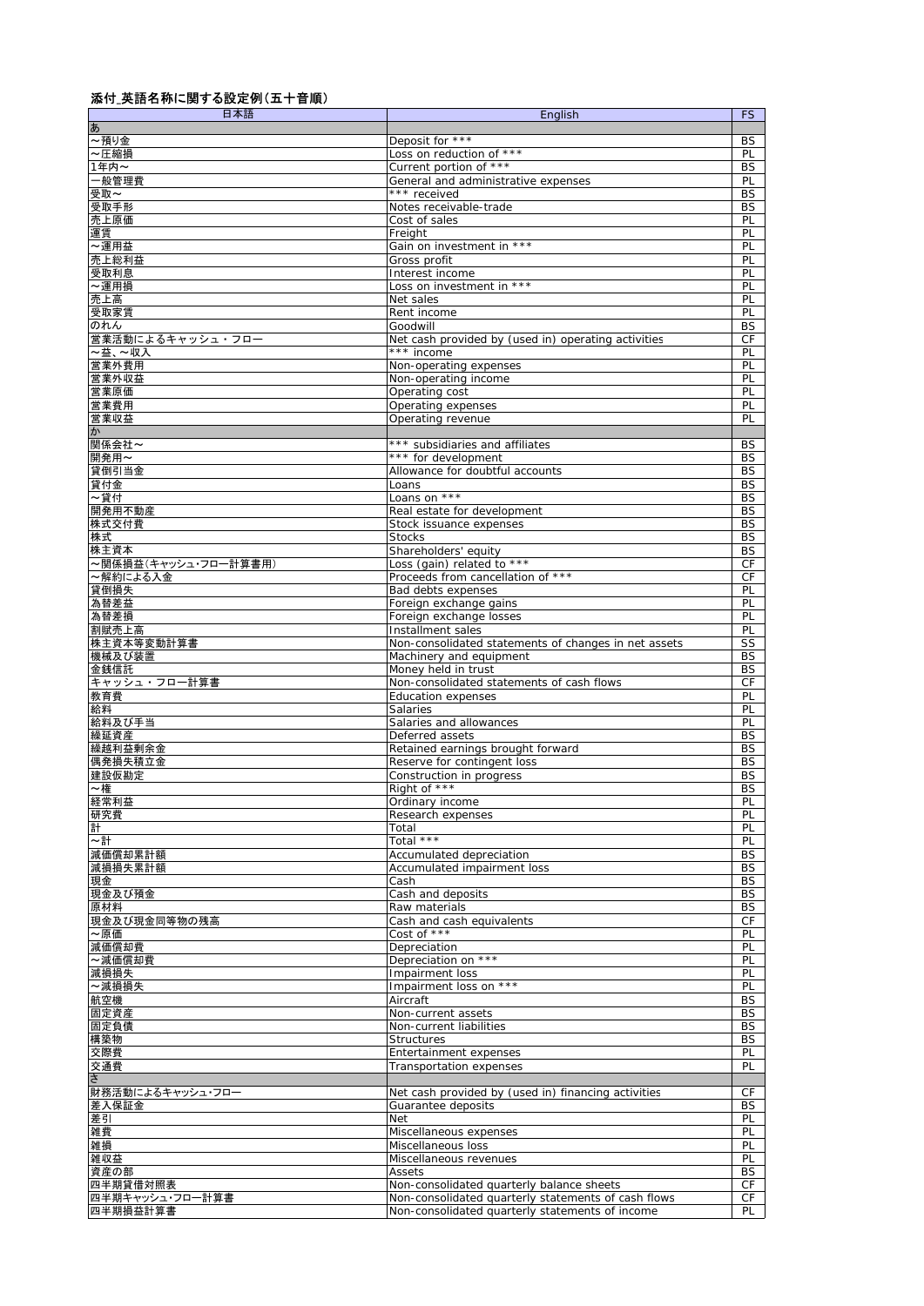## 添付\_英語名称に関する設定例(五十音順)

| 日本語                  | English                                              | <b>FS</b>              |
|----------------------|------------------------------------------------------|------------------------|
| あ                    |                                                      |                        |
| ~預り金                 | Deposit for ***                                      | BS                     |
| ~圧縮損                 | Loss on reduction of ***<br>Current portion of ***   | PL<br><b>BS</b>        |
| 1年内~<br>-般管理費        | General and administrative expenses                  | PL                     |
| 受取~                  | *** received                                         | <b>BS</b>              |
| 受取手形                 | Notes receivable-trade                               | <b>BS</b>              |
| 売上原価                 | Cost of sales                                        | PL                     |
| 運賃                   | Freight                                              | PL                     |
| ~運用益                 | Gain on investment in ***                            | PL                     |
| 売上総利益                | Gross profit                                         | PL                     |
| 受取利息                 | Interest income                                      | PL                     |
| ~運用損                 | Loss on investment in ***                            | PL                     |
| 売上高                  | Net sales                                            | PL                     |
| 受取家賃                 | Rent income                                          | PL                     |
| のれん                  | Goodwill                                             | <b>BS</b>              |
| 営業活動によるキャッシュ・フロ-     | Net cash provided by (used in) operating activities  | CF                     |
| ~益、~収入               | *** income                                           | PL                     |
| 営業外費用<br>営業外収益       | Non-operating expenses                               | PL                     |
| 営業原価                 | Non-operating income<br>Operating cost               | PL<br>PL               |
| 営業費用                 | Operating expenses                                   | PL                     |
| 営業収益                 | Operating revenue                                    | PL                     |
| か                    |                                                      |                        |
| 関係会社~                | *** subsidiaries and affiliates                      | BS                     |
| 開発用~                 | *** for development                                  | <b>BS</b>              |
| 貸倒引当金                | Allowance for doubtful accounts                      | <b>BS</b>              |
| 貸付金                  | Loans                                                | <b>BS</b>              |
| ~貸付                  | Loans on ***                                         | <b>BS</b>              |
| 開発用不動産               | Real estate for development                          | BS                     |
| 株式交付費                | Stock issuance expenses                              | <b>BS</b>              |
| 株式                   | <b>Stocks</b>                                        | <b>BS</b>              |
| 株主資本                 | Shareholders' equity                                 | <b>BS</b>              |
| ~関係損益(キャッシュ・フロー計算書用) | Loss (gain) related to ***                           | СF                     |
| ~解約による入金             | Proceeds from cancellation of ***                    | CF                     |
| 貸倒損失<br>為替差益         | Bad debts expenses<br>Foreign exchange gains         | PL<br>PL               |
| 為替差損                 | Foreign exchange losses                              | PL                     |
| 割賦売上高                | Installment sales                                    | PL                     |
| 株主資本等変動計算書           | Non-consolidated statements of changes in net assets | SS                     |
| 機械及び装置               | Machinery and equipment                              | <b>BS</b>              |
| 金銭信託                 | Money held in trust                                  | <b>BS</b>              |
| キャッシュ・フロー計算書         | Non-consolidated statements of cash flows            | СF                     |
| 教育費                  | <b>Education expenses</b>                            | PL                     |
| 給料                   | <b>Salaries</b>                                      | PL                     |
| 給料及び手当               | Salaries and allowances                              | PL                     |
| 繰延資産                 | Deferred assets                                      | <b>BS</b>              |
| 繰越利益剰余金              | Retained earnings brought forward                    | <b>BS</b>              |
| 偶発損失積立金              | Reserve for contingent loss                          | BS                     |
| 建設仮勘定<br>~権          | Construction in progress<br>Right of ***             | <b>BS</b><br><b>BS</b> |
| 経常利益                 | Ordinary income                                      | PL                     |
| 研究費                  | Research expenses                                    | PL                     |
| 計                    | Total                                                | PL                     |
| ∼計                   | Total ***                                            | PL                     |
| 減価償却累計額              | Accumulated depreciation                             | BS                     |
| 減損損失累計額              | Accumulated impairment loss                          | <b>BS</b>              |
| 現金                   | Cash                                                 | BS                     |
| 現金及び預金               | Cash and deposits                                    | BS                     |
| 原材料                  | Raw materials                                        | BS                     |
| 現金及び現金同等物の残高         | Cash and cash equivalents                            | СF                     |
| ~原価                  | Cost of ***                                          | PL                     |
| 減価償却費                | Depreciation                                         | PL                     |
| ~減価償却費<br>減損損失       | Depreciation on ***<br>Impairment loss               | PL<br>PL               |
| ~減損損失                | Impairment loss on ***                               | PL                     |
| 航空機                  | Aircraft                                             | BS                     |
| 固定資産                 | Non-current assets                                   | BS                     |
| 固定負債                 | Non-current liabilities                              | <b>BS</b>              |
| 構築物                  | <b>Structures</b>                                    | <b>BS</b>              |
| 交際費                  | Entertainment expenses                               | PL                     |
| 交通費                  | <b>Transportation expenses</b>                       | PL                     |
| $\overline{5}$       |                                                      |                        |
| 財務活動によるキャッシュ・フロ      | Net cash provided by (used in) financing activities  | СF                     |
| 差入保証金                | Guarantee deposits                                   | BS                     |
| 差引                   | Net                                                  | PL                     |
| 雑費                   | Miscellaneous expenses                               | PL                     |
| 雑損                   | Miscellaneous loss                                   | PL                     |
| 雑収益                  | Miscellaneous revenues                               | PL                     |
| 資産の部                 | Assets                                               | BS                     |
| 四半期貸借対照表             | Non-consolidated quarterly balance sheets            | СF                     |
| 四半期キャッシュ・フロー計算書      | Non-consolidated quarterly statements of cash flows  | СF                     |
| 四半期損益計算書             | Non-consolidated quarterly statements of income      | PL                     |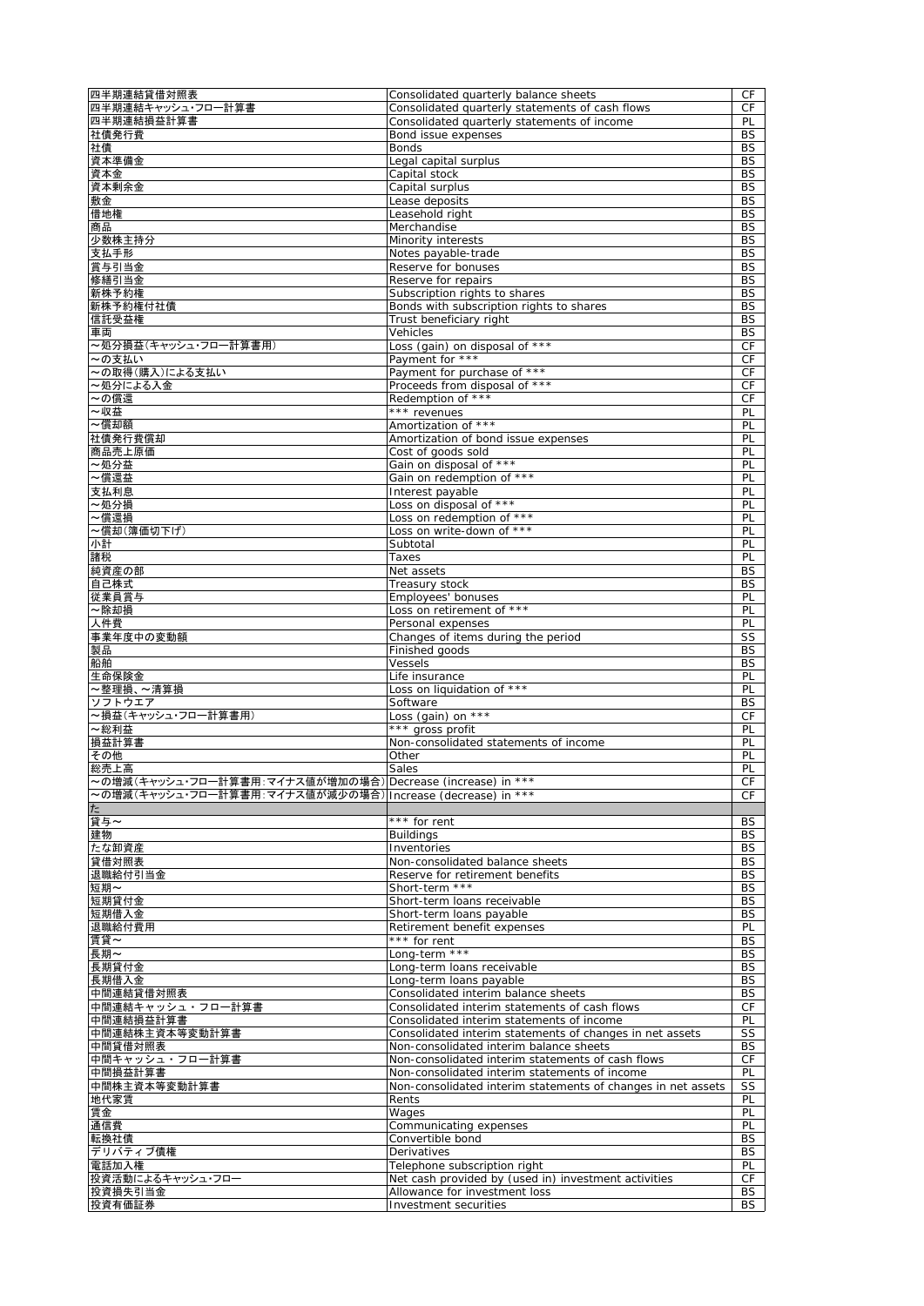| 四半期連結貸借対照表                                                  | Consolidated quarterly balance sheets                                 | CF                     |
|-------------------------------------------------------------|-----------------------------------------------------------------------|------------------------|
| 四半期連結キャッシュ・フロー計算書                                           | Consolidated quarterly statements of cash flows                       | CF                     |
| 四半期連結損益計算書                                                  | Consolidated quarterly statements of income                           | PL                     |
| 社債発行費                                                       | Bond issue expenses<br><b>Bonds</b>                                   | BS<br><b>BS</b>        |
| 社債<br>資本準備金                                                 | Legal capital surplus                                                 | BS                     |
| 資本金                                                         | Capital stock                                                         | <b>BS</b>              |
| 資本剰余金                                                       | Capital surplus                                                       | BS                     |
| 敷金                                                          | Lease deposits                                                        | <b>BS</b>              |
| 借地権                                                         | Leasehold right                                                       | <b>BS</b>              |
| 商品                                                          | Merchandise                                                           | BS                     |
| 少数株主持分                                                      | Minority interests                                                    | <b>BS</b>              |
| 支払手形                                                        | Notes payable-trade                                                   | <b>BS</b>              |
| 賞与引当金<br>修繕引当金                                              | Reserve for bonuses<br>Reserve for repairs                            | <b>BS</b><br><b>BS</b> |
| 新株予約権                                                       | Subscription rights to shares                                         | <b>BS</b>              |
| 新株予約権付社債                                                    | Bonds with subscription rights to shares                              | <b>BS</b>              |
| 信託受益権                                                       | Trust beneficiary right                                               | ΒS                     |
| 車両                                                          | Vehicles                                                              | <b>BS</b>              |
| ~処分損益(キャッシュ・フロー計算書用)                                        | Loss (gain) on disposal of ***                                        | CF                     |
| ~の支払い                                                       | Payment for ***                                                       | CF                     |
| ~の取得(購入)による支払い                                              | Payment for purchase of ***                                           | CF                     |
| ~処分による入金                                                    | Proceeds from disposal of ***                                         | CF                     |
| ~の償還                                                        | Redemption of ***                                                     | СF                     |
| ~収益<br>~償却額                                                 | *** revenues<br>Amortization of ***                                   | PL<br>PL               |
| 社債発行費償却                                                     | Amortization of bond issue expenses                                   | PL                     |
| 商品売上原価                                                      | Cost of goods sold                                                    | PL                     |
| ~処分益                                                        | Gain on disposal of ***                                               | PL                     |
| ~償還益                                                        | Gain on redemption of ***                                             | PL                     |
| 支払利息                                                        | Interest payable                                                      | PL                     |
| ~処分損                                                        | Loss on disposal of ***                                               | PL                     |
| ~償還損                                                        | Loss on redemption of ***                                             | PL                     |
| ~償却(簿価切下げ)                                                  | Loss on write-down of ***                                             | PL                     |
| 小計                                                          | Subtotal                                                              | PL                     |
| 諸税<br>純資産の部                                                 | Taxes<br>Net assets                                                   | PL<br>BS               |
| 自己株式                                                        | Treasury stock                                                        | <b>BS</b>              |
| 従業員賞与                                                       | Employees' bonuses                                                    | PL                     |
| ~除却損                                                        | Loss on retirement of ***                                             | PL                     |
| 人件費                                                         | Personal expenses                                                     | PL                     |
| 事業年度中の変動額                                                   | Changes of items during the period                                    | SS                     |
| 製品                                                          | Finished goods                                                        | <b>BS</b>              |
| 船舶                                                          | Vessels                                                               | BS                     |
| 生命保険金                                                       | Life insurance                                                        | PL                     |
| ~整理損、~清算損                                                   | Loss on liquidation of ***                                            | PL                     |
| ソフトウエア<br>~損益(キャッシュ・フロー計算書用)                                | Software<br>Loss (gain) on ***                                        | BS<br>CF               |
| ~総利益                                                        | *** gross profit                                                      | PL                     |
| 損益計算書                                                       | Non-consolidated statements of income                                 | PL                     |
| その他                                                         | Other                                                                 | PL                     |
| 総売上高                                                        | Sales                                                                 | PL                     |
| ~の増減(キャッシュ・フロー計算書用:マイナス値が増加の場合) Decrease (increase) in ***  |                                                                       | <b>CF</b>              |
| ~の増減(キャッシュ・フロー計算書用:マイナス値が減少の場合)  Increase (decrease) in *** |                                                                       | CF                     |
| $t$ =                                                       |                                                                       |                        |
| 貸与~                                                         | *** for rent                                                          | BS                     |
| 建物                                                          | <b>Buildings</b>                                                      | BS                     |
| たな卸資産<br>貸借対照表                                              | Inventories<br>Non-consolidated balance sheets                        | BS<br>BS               |
| 退職給付引当金                                                     | Reserve for retirement benefits                                       | <b>BS</b>              |
| 短期~                                                         | Short-term ***                                                        | BS                     |
| 短期貸付金                                                       | Short-term loans receivable                                           | BS                     |
| 短期借入金                                                       | Short-term loans payable                                              | ΒS                     |
| 退職給付費用                                                      | Retirement benefit expenses                                           | PL                     |
| 賃貸~                                                         | *** for rent                                                          | BS                     |
| 長期~                                                         | Long-term ***                                                         | BS                     |
| 長期貸付金<br>長期借入金                                              | Long-term loans receivable<br>Long-term loans payable                 | <b>BS</b><br>BS        |
| 中間連結貸借対照表                                                   | Consolidated interim balance sheets                                   | BS                     |
| 中間連結キャッシュ・フロー計算書                                            | Consolidated interim statements of cash flows                         | СF                     |
| 中間連結損益計算書                                                   | Consolidated interim statements of income                             | PL                     |
| 中間連結株主資本等変動計算書                                              | Consolidated interim statements of changes in net assets              | SS                     |
| 中間貸借対照表                                                     | Non-consolidated interim balance sheets                               | BS                     |
| 中間キャッシュ・フロー計算書                                              | Non-consolidated interim statements of cash flows                     | СF                     |
| 中間損益計算書                                                     | Non-consolidated interim statements of income                         | PL                     |
| 中間株主資本等変動計算書<br>地代家賃                                        | Non-consolidated interim statements of changes in net assets<br>Rents | SS<br>PL               |
| 賃金                                                          | Wages                                                                 | PL                     |
| 通信費                                                         | Communicating expenses                                                | PL                     |
| 転換社債                                                        | Convertible bond                                                      | BS                     |
| デリバティブ債権                                                    | Derivatives                                                           | BS                     |
| 電話加入権                                                       | Telephone subscription right                                          | PL                     |
| 投資活動によるキャッシュ・フロー                                            | Net cash provided by (used in) investment activities                  | СF                     |
| 投資損失引当金                                                     | Allowance for investment loss                                         | <b>BS</b>              |
| 投資有価証券                                                      | Investment securities                                                 | BS                     |